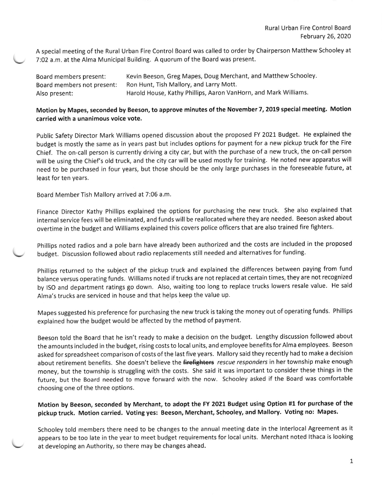A special meeting of the Rural Urban Fire Control Board was called to order by Chairperson Matthew Schooley at 7:02 a.m. at the Alma Municipal Building. A quorum of the Board was present.

Board members present: Kevin Beeson, Greg Mapes, Doug Merchant, and Matthew Schooley. Board members not present: Ron Hunt, Tish Mallory, and Larry Mott. Also present: Harold House, Kathy Phillips, Aaron VanHorn, and Mark Williams.

## Motion by Mapes, seconded by Beeson, to approve minutes of the November 7, 2019 special meeting. Motion carried with a unanimous voice vote.

public Safety Director Mark Williams opened discussion about the proposed FY 2021 Budget. He explained the budget is mostly the same as in years past but includes options for payment for a new pickup truck for the Fire Chief. The on-call person is currently driving a city car, but with the purchase of a new truck, the on-call person will be using the Chief's old truck, and the city car will be used mostly for training. He noted new apparatus will need to be purchased in four years, but those should be the only large purchases in the foreseeable future, at least for ten years.

Board Member Tish Mallory arrived at 7:06 a.m.

Finance Director Kathy Phillips explained the options for purchasing the new truck. She also explained that internal service fees will be eliminated, and funds will be reallocated where they are needed. Beeson asked about overtime in the budget and Williams explained this covers police officers that are also trained fire fighters.

phillips noted radios and a pole barn have already been authorized and the costs are included in the proposed budget. Discussion followed about radio replacements still needed and alternatives for funding.

phillips returned to the subject of the pickup truck and explained the differences between paying from fund balance versus operating funds. Williams noted iftrucks are not replaced at certain times, they are not recognized by ISO and department ratings go down. Also, waiting too long to replace trucks lowers resale value. He said Alma's trucks are serviced in house and that helps keep the value up

Mapes suggested his preference for purchasing the new truck is taking the money out of operating funds. Phillips explained how the budget would be affected by the method of payment.

Beeson told the Board that he isn't ready to make a decision on the budget. Lengthy discussion followed about the amounts included in the budget, rising costs to local units, and employee benefits for Alma employees. Beeson asked for spreadsheet comparison of costs of the last five years. Mallory said they recently had to make a decision about retirement benefits. She doesn't believe the firefighters rescue responders in her township make enough money, but the township is struggling with the costs. She said it was important to consider these things in the future, but the Board needed to move forward with the now. Schooley asked if the Board was comfortable choosing one of the three options.

## Motion by Beeson, seconded by Merchant, to adopt the FY 2021 Budget using Option #1 for purchase of the pickup truck. Motion carried. Voting yes: Beeson, Merchant, Schooley, and Mallory. Voting no: Mapes.

Schooley told members there need to be changes to the annual meeting date in the lnterlocal Agreement as it appears to be too late in the year to meet budget requirements for local units. Merchant noted lthaca is looking at developing an Authority, so there may be changes ahead.